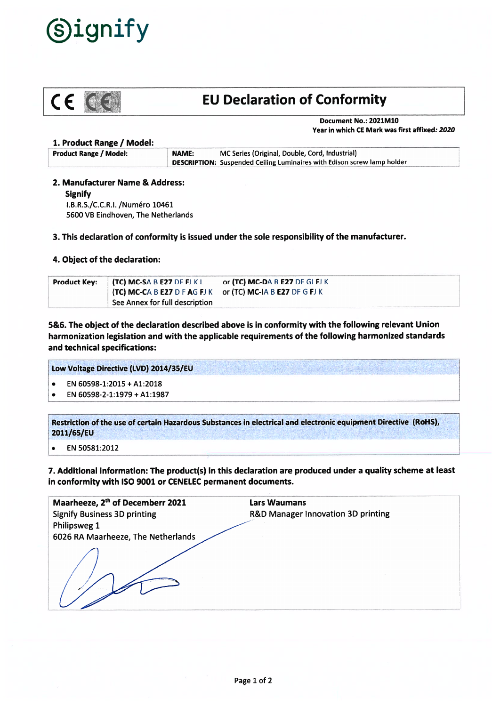



# C E CEI: EU Declaration of Conformity

Document No.: 2021M10 Year in which CE Mark was first affixed: 2020

## 1. Product Range / Model:

| <b>Product Range / Model:</b> | NAME: | MC Series (Original, Double, Cord, Industrial)                                 |
|-------------------------------|-------|--------------------------------------------------------------------------------|
|                               |       | <b>DESCRIPTION:</b> Suspended Ceiling Luminaires with Edison screw lamp holder |

# 2. Manufacturer Name & Address:

Signify

I.B.R.S./C.C.R.I. /Numéro 10461 5600 VB Eindhoven, The Netherlands

# 3. This declaration of conformity is issued under the sole responsibility of the manufacturer.

# 4. Object of the declaration:

| <b>Product Key: <math>(TC) MC-SA B E27 DF FJKL</math></b>  | or (TC) MC-DA B E27 DF GI FJ K |
|------------------------------------------------------------|--------------------------------|
| (TC) MC-CA B E27 D F AG FJ K or (TC) MC-IA B E27 DF G FJ K |                                |
| See Annex for full description                             |                                |

5&6. The object of the declaration described above is in conformity with the following relevant Union harmonization legislation and with the applicable requirements of the following harmonized standards and technical specifications:

Low Voltage Directive (LVD) 2014/35/EU

- •EN 60598-1:2015 <sup>+</sup> A1:2018
- •EN 60598-2-1:1979 <sup>+</sup> A1:1987

Restriction of the use of certain Hazardous Substances in electrical and electronic equipment Directive (R0HS), 2011/65/EU

.EN 50581:2012

7. Additional information: The product(s) in this declaration are produced under <sup>a</sup> quality scheme at least in conformity with ISO 9001 or CENELEC permanen<sup>t</sup> documents.

| Maarheeze, 2 <sup>th</sup> of Decemberr 2021 | <b>Lars Waumans</b>                           |
|----------------------------------------------|-----------------------------------------------|
| <b>Signify Business 3D printing</b>          | <b>R&amp;D Manager Innovation 3D printing</b> |
| Philipsweg 1                                 |                                               |
| 6026 RA Maarheeze, The Netherlands           |                                               |
|                                              |                                               |